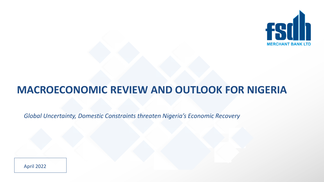

# **MACROECONOMIC REVIEW AND OUTLOOK FOR NIGERIA**

*Global Uncertainty, Domestic Constraints threaten Nigeria's Economic Recovery*

April 2022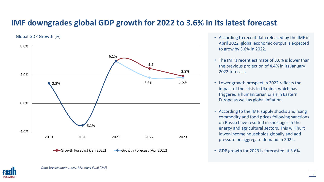### **IMF downgrades global GDP growth for 2022 to 3.6% in its latest forecast**

#### Global GDP Growth (%)



- According to recent data released by the IMF in April 2022, global economic output is expected to grow by 3.6% in 2022.
- The IMF's recent estimate of 3.6% is lower than the previous projection of 4.4% in its January 2022 forecast.
- Lower growth prospect in 2022 reflects the impact of the crisis in Ukraine, which has triggered a humanitarian crisis in Eastern Europe as well as global inflation.
- According to the IMF, supply shocks and rising commodity and food prices following sanctions on Russia have resulted in shortages in the energy and agricultural sectors. This will hurt lower-income households globally and add pressure on aggregate demand in 2022.
- GDP growth for 2023 is forecasted at 3.6%.

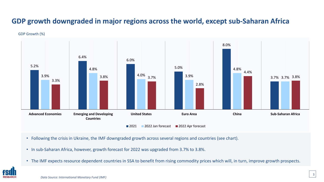### **GDP growth downgraded in major regions across the world, except sub-Saharan Africa**

#### GDP Growth (%)



- Following the crisis in Ukraine, the IMF downgraded growth across several regions and countries (see chart).
- In sub-Saharan Africa, however, growth forecast for 2022 was upgraded from 3.7% to 3.8%.
- The IMF expects resource dependent countries in SSA to benefit from rising commodity prices which will, in turn, improve growth prospects.

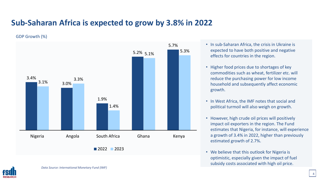# **Sub-Saharan Africa is expected to grow by 3.8% in 2022**

GDP Growth (%)



- In sub-Saharan Africa, the crisis in Ukraine is expected to have both positive and negative effects for countries in the region.
- Higher food prices due to shortages of key commodities such as wheat, fertilizer etc. will reduce the purchasing power for low income household and subsequently affect economic growth.
- In West Africa, the IMF notes that social and political turmoil will also weigh on growth.
- However, high crude oil prices will positively impact oil exporters in the region. The Fund estimates that Nigeria, for instance, will experience a growth of 3.4% in 2022, higher than previously estimated growth of 2.7%.
- We believe that this outlook for Nigeria is optimistic, especially given the impact of fuel subsidy costs associated with high oil price.

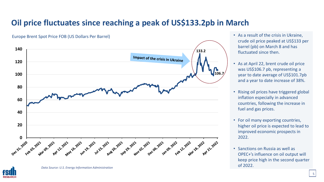# **Oil price fluctuates since reaching a peak of US\$133.2pb in March**





- As a result of the crisis in Ukraine, crude oil price peaked at US\$133 per barrel (pb) on March 8 and has fluctuated since then.
- As at April 22, brent crude oil price was US\$106.7 pb, representing a year to date average of US\$101.7pb and a year to date increase of 38%.
- Rising oil prices have triggered global inflation especially in advanced countries, following the increase in fuel and gas prices.
- For oil many exporting countries, higher oil price is expected to lead to improved economic prospects in 2022.
- Sanctions on Russia as well as OPEC+'s influence on oil output will keep price high in the second quarter of 2022.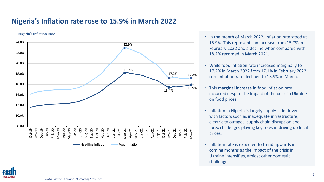### **Nigeria's Inflation rate rose to 15.9% in March 2022**

#### Nigeria's Inflation Rate



- In the month of March 2022, inflation rate stood at 15.9%. This represents an increase from 15.7% in February 2022 and a decline when compared with 18.2% recorded in March 2021.
- While food inflation rate increased marginally to 17.2% in March 2022 from 17.1% in February 2022, core inflation rate declined to 13.9% in March.
- This marginal increase in food inflation rate occurred despite the impact of the crisis in Ukraine on food prices.
- Inflation in Nigeria is largely supply-side driven with factors such as inadequate infrastructure, electricity outages, supply chain disruption and forex challenges playing key roles in driving up local prices.
- Inflation rate is expected to trend upwards in coming months as the impact of the crisis in Ukraine intensifies, amidst other domestic challenges.

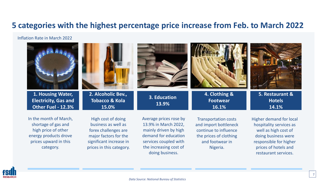### **5 categories with the highest percentage price increase from Feb. to March 2022**

#### Inflation Rate in March 2022

| 1. Housing Water,<br><b>Electricity, Gas and</b><br>Other Fuel - 12.3%                                                              | 2. Alcoholic Bev.,<br><b>Tobacco &amp; Kola</b><br>15.0%                                                                                          | 3. Education<br>13.9%                                                                                                                                                 | 4. Clothing &<br><b>Footwear</b><br>16.1%                                                                                              | 5. Restaurant &<br><b>Hotels</b><br>14.1%                                                                                                                                          |
|-------------------------------------------------------------------------------------------------------------------------------------|---------------------------------------------------------------------------------------------------------------------------------------------------|-----------------------------------------------------------------------------------------------------------------------------------------------------------------------|----------------------------------------------------------------------------------------------------------------------------------------|------------------------------------------------------------------------------------------------------------------------------------------------------------------------------------|
| In the month of March,<br>shortage of gas and<br>high price of other<br>energy products drove<br>prices upward in this<br>category. | High cost of doing<br>business as well as<br>forex challenges are<br>major factors for the<br>significant increase in<br>prices in this category. | Average prices rose by<br>13.9% in March 2022,<br>mainly driven by high<br>demand for education<br>services coupled with<br>the increasing cost of<br>doing business. | <b>Transportation costs</b><br>and import bottleneck<br>continue to influence<br>the prices of clothing<br>and footwear in<br>Nigeria. | <b>Higher demand for local</b><br>hospitality services as<br>well as high cost of<br>doing business were<br>responsible for higher<br>prices of hotels and<br>restaurant services. |

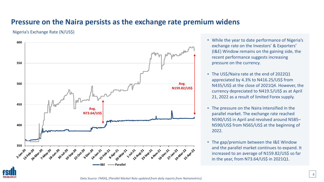### **Pressure on the Naira persists as the exchange rate premium widens**

#### Nigeria's Exchange Rate (N/US\$)



- While the year to date performance of Nigeria's exchange rate on the Investors' & Exporters' (I&E) Window remains on the gaining side, the recent performance suggests increasing pressure on the currency.
- The US\$/Naira rate at the end of 2022Q1 appreciated by 4.3% to N416.25/US\$ from N435/US\$ at the close of 2021Q4. However, the currency depreciated to N419.5/US\$ as at April 21, 2022 as a result of limited Forex supply.
- The pressure on the Naira intensified in the parallel market. The exchange rate reached N590/US\$ in April and revolved around N585– N590/US\$ from N565/US\$ at the beginning of 2022.
- The gap/premium between the I&E Window and the parallel market continues to expand. It increased to an average of N159.82/US\$ so far in the year, from N73.64/US\$ in 2021Q1.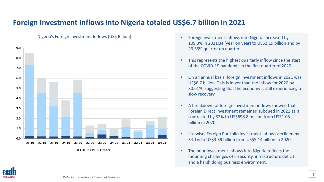### **Foreign Investment inflows into Nigeria totaled US\$6.7 billion in 2021**



- Nigeria's Foreign Investment Inflows (US\$ Billion) Foreign investment inflows into Nigeria increased by
	- 109.3% in 2021Q4 (year on year) to US\$2.19 billion and by 26.35% quarter on quarter.
	- This represents the highest quarterly inflow since the start of the COVID-19 pandemic in the first quarter of 2020.
	- On an annual basis, foreign investment inflows in 2021 was US\$6.7 billion. This is lower than the inflow for 2020 by 30.61%, suggesting that the economy is still experiencing a slow recovery.
	- A breakdown of foreign investment inflows showed that Foreign Direct Investment remained subdued in 2021 as it contracted by 32% to US\$698.8 million from US\$1.03 billion in 2020.
	- Likewise, Foreign Portfolio Investment inflows declined by 34.1% to US\$3.39 billion from US\$5.14 billion in 2020.
	- The poor investment inflows into Nigeria reflects the mounting challenges of insecurity, infrastructure deficit and a harsh doing business environment.

![](_page_8_Picture_9.jpeg)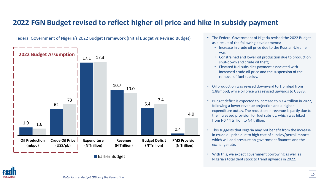### **2022 FGN Budget revised to reflect higher oil price and hike in subsidy payment**

![](_page_9_Figure_1.jpeg)

Federal Government of Nigeria's 2022 Budget Framework (Initial Budget vs Revised Budget) • The Federal Government of Nigeria revised the 2022 Budget

- as a result of the following developments:
	- Increase in crude oil price due to the Russian-Ukraine war;
	- Constrained and lower oil production due to production shut-down and crude oil theft;
	- Elevated fuel subsidies payment associated with increased crude oil price and the suspension of the removal of fuel subsidy.
- Oil production was revised downward to 1.6mbpd from 1.88mbpd, while oil price was revised upwards to US\$73.
- Budget deficit is expected to increase to N7.4 trillion in 2022, following a lower revenue projection and a higher expenditure outlay. The reduction in revenue is partly due to the increased provision for fuel subsidy, which was hiked from N0.44 trillion to N4 trillion.
- This suggests that Nigeria may not benefit from the increase in crude oil price due to high cost of subsidy/petrol imports which will add pressure on government finances and the exchange rate.
- With this, we expect government borrowing as well as Nigeria's total debt stock to trend upwards in 2022.

![](_page_9_Picture_12.jpeg)

<sup>■</sup> Earlier Budget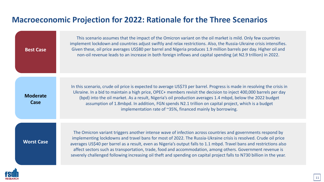# **Macroeconomic Projection for 2022: Rationale for the Three Scenarios**

| <b>Best Case</b>        | This scenario assumes that the impact of the Omicron variant on the oil market is mild. Only few countries<br>implement lockdown and countries adjust swiftly and relax restrictions. Also, the Russia-Ukraine crisis intensifies.<br>Given these, oil price averages US\$80 per barrel and Nigeria produces 1.9 million barrels per day. Higher oil and<br>non-oil revenue leads to an increase in both foreign inflows and capital spending (at N2.9 trillion) in 2022.                                                                                                                    |
|-------------------------|----------------------------------------------------------------------------------------------------------------------------------------------------------------------------------------------------------------------------------------------------------------------------------------------------------------------------------------------------------------------------------------------------------------------------------------------------------------------------------------------------------------------------------------------------------------------------------------------|
| <b>Moderate</b><br>Case | In this scenario, crude oil price is expected to average US\$73 per barrel. Progress is made in resolving the crisis in<br>Ukraine. In a bid to maintain a high price, OPEC+ members revisit the decision to inject 400,000 barrels per day<br>(bpd) into the oil market. As a result, Nigeria's oil production averages 1.4 mbpd, below the 2022 budget<br>assumption of 1.8mbpd. In addition, FGN spends N2.1 trillion on capital project, which is a budget<br>implementation rate of ~35%, financed mainly by borrowing.                                                                 |
| <b>Worst Case</b>       | The Omicron variant triggers another intense wave of infection across countries and governments respond by<br>implementing lockdowns and travel bans for most of 2022. The Russia-Ukraine crisis is resolved. Crude oil price<br>averages US\$40 per barrel as a result, even as Nigeria's output falls to 1.1 mbpd. Travel bans and restrictions also<br>affect sectors such as transportation, trade, food and accommodation, among others. Government revenue is<br>severely challenged following increasing oil theft and spending on capital project falls to N730 billion in the year. |
|                         |                                                                                                                                                                                                                                                                                                                                                                                                                                                                                                                                                                                              |

![](_page_10_Picture_2.jpeg)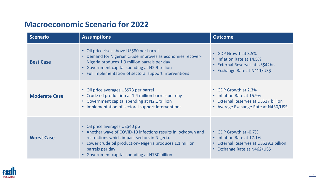# **Macroeconomic Scenario for 2022**

| <b>Scenario</b>      | <b>Assumptions</b>                                                                                                                                                                                                                                                                            | <b>Outcome</b>                                                                                                                             |
|----------------------|-----------------------------------------------------------------------------------------------------------------------------------------------------------------------------------------------------------------------------------------------------------------------------------------------|--------------------------------------------------------------------------------------------------------------------------------------------|
| <b>Best Case</b>     | • Oil price rises above US\$80 per barrel<br>Demand for Nigerian crude improves as economies recover-<br>$\bullet$<br>Nigeria produces 1.9 million barrels per day<br>• Government capital spending at N2.9 trillion<br>Full implementation of sectoral support interventions<br>$\bullet$    | • GDP Growth at 3.5%<br>• Inflation Rate at 14.5%<br>External Reserves at US\$42bn<br>$\bullet$<br>Exchange Rate at N411/US\$<br>$\bullet$ |
| <b>Moderate Case</b> | • Oil price averages US\$73 per barrel<br>• Crude oil production at 1.4 million barrels per day<br>• Government capital spending at N2.1 trillion<br>• Implementation of sectoral support interventions                                                                                       | • GDP Growth at 2.3%<br>• Inflation Rate at 15.9%<br>• External Reserves at US\$37 billion<br>• Average Exchange Rate at N430/US\$         |
| <b>Worst Case</b>    | • Oil price averages US\$40 pb<br>• Another wave of COVID-19 infections results in lockdown and<br>restrictions which impact sectors in Nigeria.<br>Lower crude oil production- Nigeria produces 1.1 million<br>$\bullet$<br>barrels per day<br>• Government capital spending at N730 billion | • GDP Growth at -0.7%<br>• Inflation Rate at 17.1%<br>• External Reserves at US\$29.3 billion<br>Exchange Rate at N462/US\$<br>$\bullet$   |

![](_page_11_Picture_2.jpeg)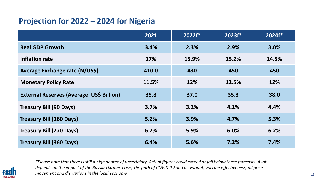# **Projection for 2022 – 2024 for Nigeria**

|                                           | 2021  | 2022f* | 2023f* | $2024f*$ |
|-------------------------------------------|-------|--------|--------|----------|
| <b>Real GDP Growth</b>                    | 3.4%  | 2.3%   | 2.9%   | 3.0%     |
| Inflation rate                            | 17%   | 15.9%  | 15.2%  | 14.5%    |
| Average Exchange rate (N/US\$)            | 410.0 | 430    | 450    | 450      |
| <b>Monetary Policy Rate</b>               | 11.5% | 12%    | 12.5%  | 12%      |
| External Reserves (Average, US\$ Billion) | 35.8  | 37.0   | 35.3   | 38.0     |
| <b>Treasury Bill (90 Days)</b>            | 3.7%  | 3.2%   | 4.1%   | 4.4%     |
| <b>Treasury Bill (180 Days)</b>           | 5.2%  | 3.9%   | 4.7%   | 5.3%     |
| <b>Treasury Bill (270 Days)</b>           | 6.2%  | 5.9%   | 6.0%   | 6.2%     |
| <b>Treasury Bill (360 Days)</b>           | 6.4%  | 5.6%   | 7.2%   | 7.4%     |

![](_page_12_Picture_2.jpeg)

*\*Please note that there is still a high degree of uncertainty. Actual figures could exceed or fall below these forecasts. A lot depends on the impact of the Russia-Ukraine crisis, the path of COVID-19 and its variant, vaccine effectiveness, oil price movement and disruptions in the local economy.*